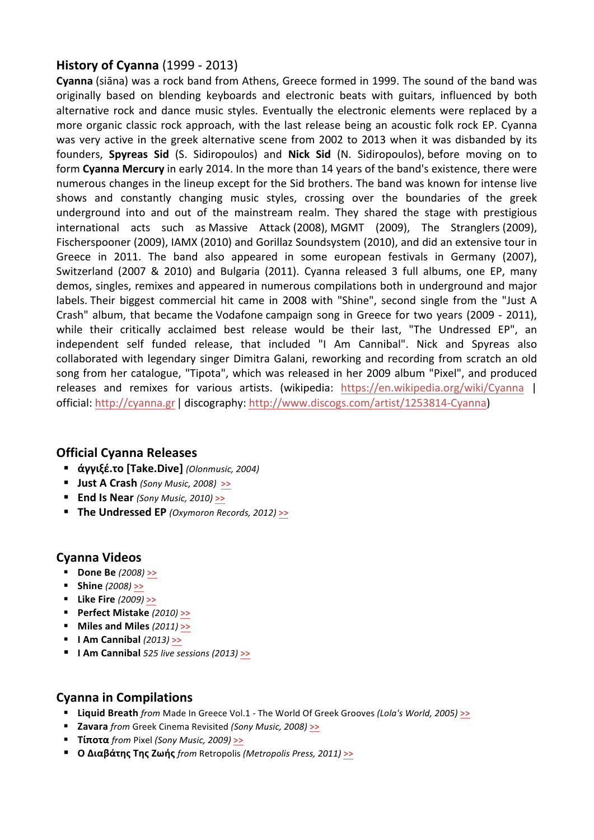# **History of Cyanna** (1999 - 2013)

**Cyanna** (siāna) was a rock band from Athens, Greece formed in 1999. The sound of the band was originally based on blending keyboards and electronic beats with guitars, influenced by both alternative rock and dance music styles. Eventually the electronic elements were replaced by a more organic classic rock approach, with the last release being an acoustic folk rock EP. Cyanna was very active in the greek alternative scene from 2002 to 2013 when it was disbanded by its founders, **Spyreas Sid** (S. Sidiropoulos) and **Nick Sid** (N. Sidiropoulos), before moving on to form **Cyanna Mercury** in early 2014. In the more than 14 years of the band's existence, there were numerous changes in the lineup except for the Sid brothers. The band was known for intense live shows and constantly changing music styles, crossing over the boundaries of the greek underground into and out of the mainstream realm. They shared the stage with prestigious international acts such as Massive Attack (2008), MGMT (2009), The Stranglers (2009), Fischerspooner (2009), IAMX (2010) and Gorillaz Soundsystem (2010), and did an extensive tour in Greece in 2011. The band also appeared in some european festivals in Germany (2007), Switzerland (2007 & 2010) and Bulgaria (2011). Cyanna released 3 full albums, one EP, many demos, singles, remixes and appeared in numerous compilations both in underground and major labels. Their biggest commercial hit came in 2008 with "Shine", second single from the "Just A Crash" album, that became the Vodafone campaign song in Greece for two years (2009 - 2011), while their critically acclaimed best release would be their last, "The Undressed EP", an independent self funded release, that included "I Am Cannibal". Nick and Spyreas also collaborated with legendary singer Dimitra Galani, reworking and recording from scratch an old song from her catalogue, "Tipota", which was released in her 2009 album "Pixel", and produced releases and remixes for various artists. (wikipedia: https://en.wikipedia.org/wiki/Cyanna | official: http://cyanna.gr | discography: http://www.discogs.com/artist/1253814-Cyanna)

## **Official Cyanna Releases**

- ! **άγγιξέ.το [Take.Dive]** *(Olonmusic, 2004)*
- ! **Just A Crash** *(Sony Music, 2008)* **>>**
- ! **End Is Near** *(Sony Music, 2010)* **>>**
- ! **The Undressed EP** *(Oxymoron Records, 2012)* **>>**

## **Cyanna Videos**

- ! **Done Be** *(2008)* **>>**
- ! **Shine** *(2008)* **>>**
- ! **Like Fire** *(2009)* **>>**
- ! **Perfect Mistake** *(2010)* **>>**
- ! **Miles and Miles** *(2011)* **>>**
- ! **I Am Cannibal** *(2013)* **>>**
- ! **I Am Cannibal** *525 live sessions (2013)* **>>**

## **Cyanna in Compilations**

- ! **Liquid Breath** *from* Made In Greece Vol.1 The World Of Greek Grooves *(Lola's World, 2005)* **>>**
- ! **Zavara** *from* Greek Cinema Revisited *(Sony Music, 2008)* **>>**
- ! **Τίποτα** *from* Pixel *(Sony Music, 2009)* **>>**
- ! **O Διαβάτης Της Ζωής** *from* Retropolis *(Metropolis Press, 2011)* **>>**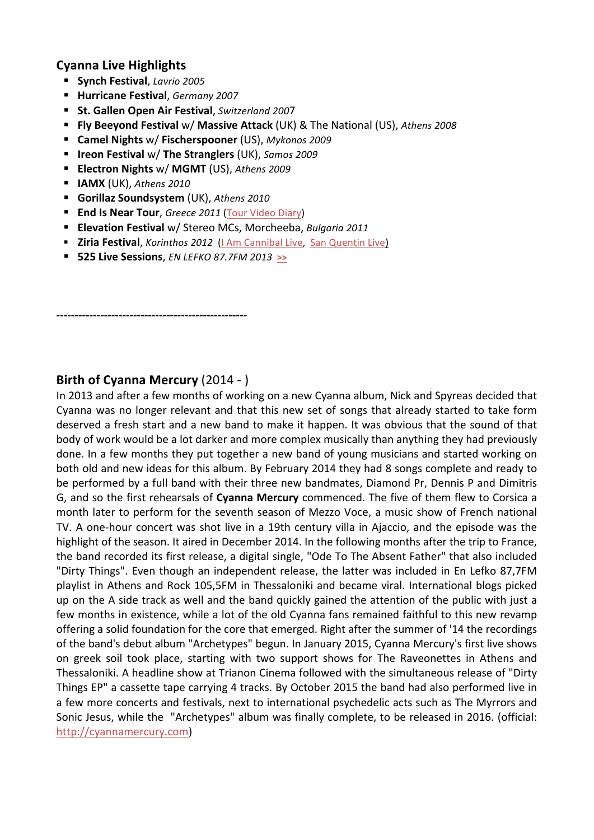# **Cyanna Live Highlights**

- ! **Synch Festival**, *Lavrio 2005*
- ! **Hurricane Festival**, *Germany 2007*
- ! **St. Gallen Open Air Festival**, *Switzerland 200*7
- ! **Fly Beeyond Festival** w/ **Massive Attack** (UK) & The National (US), *Athens 2008*
- ! **Camel Nights** w/ **Fischerspooner** (US), *Mykonos 2009*
- ! **Ireon Festival** w/ **The Stranglers** (UK), *Samos 2009*
- ! **Electron Nights** w/ **MGMT** (US), *Athens 2009*
- ! **IAMX** (UK), *Athens 2010*
- ! **Gorillaz Soundsystem** (UK), *Athens 2010*
- ! **End Is Near Tour**, *Greece 2011* (Tour Video Diary)
- ! **Elevation Festival** w/ Stereo MCs, Morcheeba, *Bulgaria 2011*
- ! **Ziria Festival**, *Korinthos 2012* (I Am Cannibal Live, San Quentin Live)
- ! **525 Live Sessions**, *EN LEFKO 87.7FM 2013* **>>**

## **Birth of Cyanna Mercury** (2014 - )

**----------------------------------------------------**

In 2013 and after a few months of working on a new Cyanna album, Nick and Spyreas decided that Cyanna was no longer relevant and that this new set of songs that already started to take form deserved a fresh start and a new band to make it happen. It was obvious that the sound of that body of work would be a lot darker and more complex musically than anything they had previously done. In a few months they put together a new band of young musicians and started working on both old and new ideas for this album. By February 2014 they had 8 songs complete and ready to be performed by a full band with their three new bandmates, Diamond Pr, Dennis P and Dimitris G, and so the first rehearsals of **Cyanna Mercury** commenced. The five of them flew to Corsica a month later to perform for the seventh season of Mezzo Voce, a music show of French national TV. A one-hour concert was shot live in a 19th century villa in Ajaccio, and the episode was the highlight of the season. It aired in December 2014. In the following months after the trip to France, the band recorded its first release, a digital single, "Ode To The Absent Father" that also included "Dirty Things". Even though an independent release, the latter was included in En Lefko 87,7FM playlist in Athens and Rock 105,5FM in Thessaloniki and became viral. International blogs picked up on the A side track as well and the band quickly gained the attention of the public with just a few months in existence, while a lot of the old Cyanna fans remained faithful to this new revamp offering a solid foundation for the core that emerged. Right after the summer of '14 the recordings of the band's debut album "Archetypes" begun. In January 2015, Cyanna Mercury's first live shows on greek soil took place, starting with two support shows for The Raveonettes in Athens and Thessaloniki. A headline show at Trianon Cinema followed with the simultaneous release of "Dirty Things EP" a cassette tape carrying 4 tracks. By October 2015 the band had also performed live in a few more concerts and festivals, next to international psychedelic acts such as The Myrrors and Sonic Jesus, while the "Archetypes" album was finally complete, to be released in 2016. (official: http://cyannamercury.com)